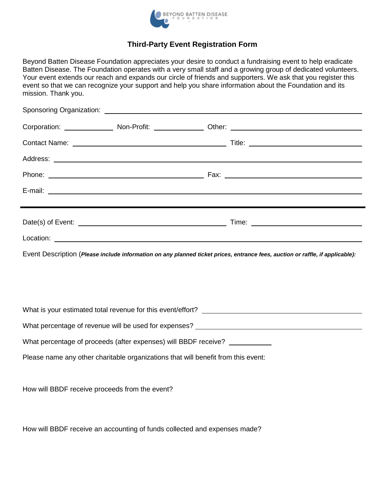

## **Third-Party Event Registration Form**

Beyond Batten Disease Foundation appreciates your desire to conduct a fundraising event to help eradicate Batten Disease. The Foundation operates with a very small staff and a growing group of dedicated volunteers. Your event extends our reach and expands our circle of friends and supporters. We ask that you register this event so that we can recognize your support and help you share information about the Foundation and its mission. Thank you.

|                                                                                                                               |  |  | Phone: 2008. 2009. [2010] Phone: 2010. [2010] Phone: 2010. [2010] Phone: 2010. [2010] Phone: 2010. [2010] Phone: 2010. [2010] Phone: 2010. [2010] Phone: 2010. [2010] Phone: 2010. [2010] Phone: 2010. [2010] Phone: 2010. [20       |
|-------------------------------------------------------------------------------------------------------------------------------|--|--|--------------------------------------------------------------------------------------------------------------------------------------------------------------------------------------------------------------------------------------|
|                                                                                                                               |  |  |                                                                                                                                                                                                                                      |
|                                                                                                                               |  |  |                                                                                                                                                                                                                                      |
|                                                                                                                               |  |  |                                                                                                                                                                                                                                      |
|                                                                                                                               |  |  | Location: <u>the contract of the contract of the contract of the contract of the contract of the contract of the contract of the contract of the contract of the contract of the contract of the contract of the contract of the</u> |
| Event Description (Please include information on any planned ticket prices, entrance fees, auction or raffle, if applicable): |  |  |                                                                                                                                                                                                                                      |
|                                                                                                                               |  |  |                                                                                                                                                                                                                                      |
|                                                                                                                               |  |  |                                                                                                                                                                                                                                      |
|                                                                                                                               |  |  | What is your estimated total revenue for this event/effort?                                                                                                                                                                          |
|                                                                                                                               |  |  |                                                                                                                                                                                                                                      |
| What percentage of proceeds (after expenses) will BBDF receive?                                                               |  |  |                                                                                                                                                                                                                                      |
| Please name any other charitable organizations that will benefit from this event:                                             |  |  |                                                                                                                                                                                                                                      |
|                                                                                                                               |  |  |                                                                                                                                                                                                                                      |
| How will BBDF receive proceeds from the event?                                                                                |  |  |                                                                                                                                                                                                                                      |

How will BBDF receive an accounting of funds collected and expenses made?